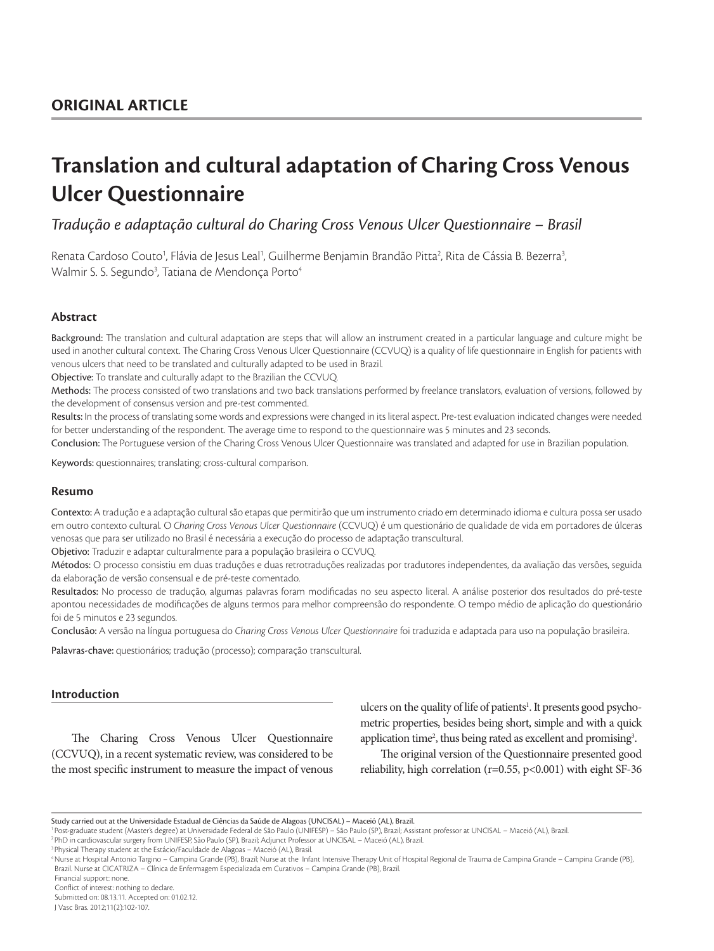# **Translation and cultural adaptation of Charing Cross Venous Ulcer Questionnaire**

*Tradução e adaptação cultural do Charing Cross Venous Ulcer Questionnaire – Brasil*

Renata Cardoso Couto<sup>1</sup>, Flávia de Jesus Leal<sup>1</sup>, Guilherme Benjamin Brandão Pitta<sup>2</sup>, Rita de Cássia B. Bezerra<sup>3</sup>, Walmir S. S. Segundo<sup>3</sup>, Tatiana de Mendonça Porto<sup>4</sup>

# **Abstract**

Background: The translation and cultural adaptation are steps that will allow an instrument created in a particular language and culture might be used in another cultural context. The Charing Cross Venous Ulcer Questionnaire (CCVUQ) is a quality of life questionnaire in English for patients with venous ulcers that need to be translated and culturally adapted to be used in Brazil.

Objective: To translate and culturally adapt to the Brazilian the CCVUQ.

Methods: The process consisted of two translations and two back translations performed by freelance translators, evaluation of versions, followed by the development of consensus version and pre-test commented.

Results: In the process of translating some words and expressions were changed in its literal aspect. Pre-test evaluation indicated changes were needed for better understanding of the respondent. The average time to respond to the questionnaire was 5 minutes and 23 seconds.

Conclusion: The Portuguese version of the Charing Cross Venous Ulcer Questionnaire was translated and adapted for use in Brazilian population.

Keywords: questionnaires; translating; cross-cultural comparison.

# **Resumo**

Contexto: A tradução e a adaptação cultural são etapas que permitirão que um instrumento criado em determinado idioma e cultura possa ser usado em outro contexto cultural*.* O *Charing Cross Venous Ulcer Questionnaire* (CCVUQ) é um questionário de qualidade de vida em portadores de úlceras venosas que para ser utilizado no Brasil é necessária a execução do processo de adaptação transcultural.

Objetivo: Traduzir e adaptar culturalmente para a população brasileira o CCVUQ.

Métodos: O processo consistiu em duas traduções e duas retrotraduções realizadas por tradutores independentes, da avaliação das versões, seguida da elaboração de versão consensual e de pré-teste comentado.

Resultados: No processo de tradução, algumas palavras foram modificadas no seu aspecto literal. A análise posterior dos resultados do pré-teste apontou necessidades de modificações de alguns termos para melhor compreensão do respondente. O tempo médio de aplicação do questionário foi de 5 minutos e 23 segundos.

Conclusão: A versão na língua portuguesa do *Charing Cross Venous Ulcer Questionnaire* foi traduzida e adaptada para uso na população brasileira.

Palavras-chave: questionários; tradução (processo); comparação transcultural.

# **Introduction**

The Charing Cross Venous Ulcer Questionnaire (CCVUQ), in a recent systematic review, was considered to be the most specific instrument to measure the impact of venous

ulcers on the quality of life of patients<sup>1</sup>. It presents good psychometric properties, besides being short, simple and with a quick application time<sup>2</sup>, thus being rated as excellent and promising<sup>3</sup>.

The original version of the Questionnaire presented good reliability, high correlation (r=0.55, p<0.001) with eight SF-36

Conflict of interest: nothing to declare.

Submitted on: 08.13.11. Accepted on: 01.02.12.

Study carried out at the Universidade Estadual de Ciências da Saúde de Alagoas (UNCISAL) – Maceió (AL), Brazil.

<sup>1</sup> Post-graduate student (Master's degree) at Universidade Federal de São Paulo (UNIFESP) – São Paulo (SP), Brazil; Assistant professor at UNCISAL – Maceió (AL), Brazil.

<sup>2</sup> PhD in cardiovascular surgery from UNIFESP, São Paulo (SP), Brazil; Adjunct Professor at UNCISAL – Maceió (AL), Brazil. <sup>3</sup> Physical Therapy student at the Estácio/Faculdade de Alagoas – Maceió (AL), Brasil.

<sup>4</sup> Nurse at Hospital Antonio Targino – Campina Grande (PB), Brazil; Nurse at the Infant Intensive Therapy Unit of Hospital Regional de Trauma de Campina Grande – Campina Grande (PB), Brazil. Nurse at CICATRIZA – Clínica de Enfermagem Especializada em Curativos – Campina Grande (PB), Brazil.

Financial support: none.

J Vasc Bras. 2012;11(2):102-107.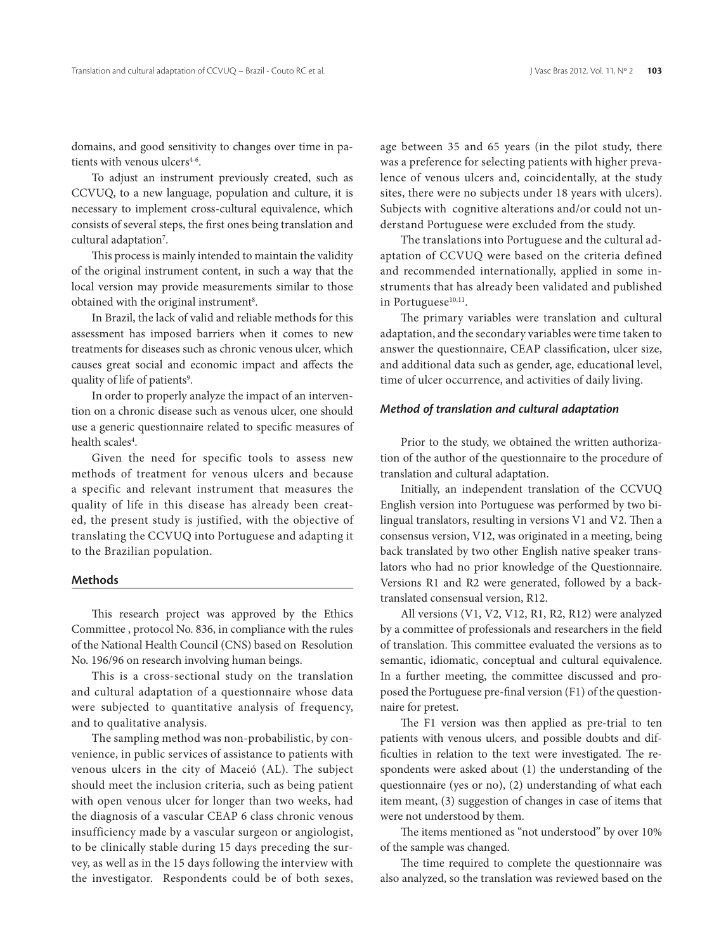domains, and good sensitivity to changes over time in patients with venous ulcers<sup>4-6</sup>.

To adjust an instrument previously created, such as CCVUQ, to a new language, population and culture, it is necessary to implement cross-cultural equivalence, which consists of several steps, the first ones being translation and cultural adaptation<sup>7</sup>.

This process is mainly intended to maintain the validity of the original instrument content, in such a way that the local version may provide measurements similar to those obtained with the original instrument<sup>8</sup>.

In Brazil, the lack of valid and reliable methods for this assessment has imposed barriers when it comes to new treatments for diseases such as chronic venous ulcer, which causes great social and economic impact and affects the quality of life of patients<sup>9</sup>.

In order to properly analyze the impact of an intervention on a chronic disease such as venous ulcer, one should use a generic questionnaire related to specific measures of health scales<sup>4</sup>.

Given the need for specific tools to assess new methods of treatment for venous ulcers and because a specific and relevant instrument that measures the quality of life in this disease has already been created, the present study is justified, with the objective of translating the CCVUQ into Portuguese and adapting it to the Brazilian population.

#### **Methods**

This research project was approved by the Ethics Committee , protocol No. 836, in compliance with the rules of the National Health Council (CNS) based on Resolution No. 196/96 on research involving human beings.

This is a cross-sectional study on the translation and cultural adaptation of a questionnaire whose data were subjected to quantitative analysis of frequency, and to qualitative analysis.

The sampling method was non-probabilistic, by convenience, in public services of assistance to patients with venous ulcers in the city of Maceió (AL). The subject should meet the inclusion criteria, such as being patient with open venous ulcer for longer than two weeks, had the diagnosis of a vascular CEAP 6 class chronic venous insufficiency made by a vascular surgeon or angiologist, to be clinically stable during 15 days preceding the survey, as well as in the 15 days following the interview with the investigator. Respondents could be of both sexes, age between 35 and 65 years (in the pilot study, there was a preference for selecting patients with higher prevalence of venous ulcers and, coincidentally, at the study sites, there were no subjects under 18 years with ulcers). Subjects with cognitive alterations and/or could not understand Portuguese were excluded from the study.

The translations into Portuguese and the cultural adaptation of CCVUQ were based on the criteria defined and recommended internationally, applied in some instruments that has already been validated and published in Portuguese<sup>10,11</sup>.

The primary variables were translation and cultural adaptation, and the secondary variables were time taken to answer the questionnaire, CEAP classification, ulcer size, and additional data such as gender, age, educational level, time of ulcer occurrence, and activities of daily living.

# *Method of translation and cultural adaptation*

Prior to the study, we obtained the written authorization of the author of the questionnaire to the procedure of translation and cultural adaptation.

Initially, an independent translation of the CCVUQ English version into Portuguese was performed by two bilingual translators, resulting in versions V1 and V2. Then a consensus version, V12, was originated in a meeting, being back translated by two other English native speaker translators who had no prior knowledge of the Questionnaire. Versions R1 and R2 were generated, followed by a backtranslated consensual version, R12.

All versions (V1, V2, V12, R1, R2, R12) were analyzed by a committee of professionals and researchers in the field of translation. This committee evaluated the versions as to semantic, idiomatic, conceptual and cultural equivalence. In a further meeting, the committee discussed and proposed the Portuguese pre-final version (F1) of the questionnaire for pretest.

The F1 version was then applied as pre-trial to ten patients with venous ulcers, and possible doubts and difficulties in relation to the text were investigated. The respondents were asked about (1) the understanding of the questionnaire (yes or no), (2) understanding of what each item meant, (3) suggestion of changes in case of items that were not understood by them.

The items mentioned as "not understood" by over 10% of the sample was changed.

The time required to complete the questionnaire was also analyzed, so the translation was reviewed based on the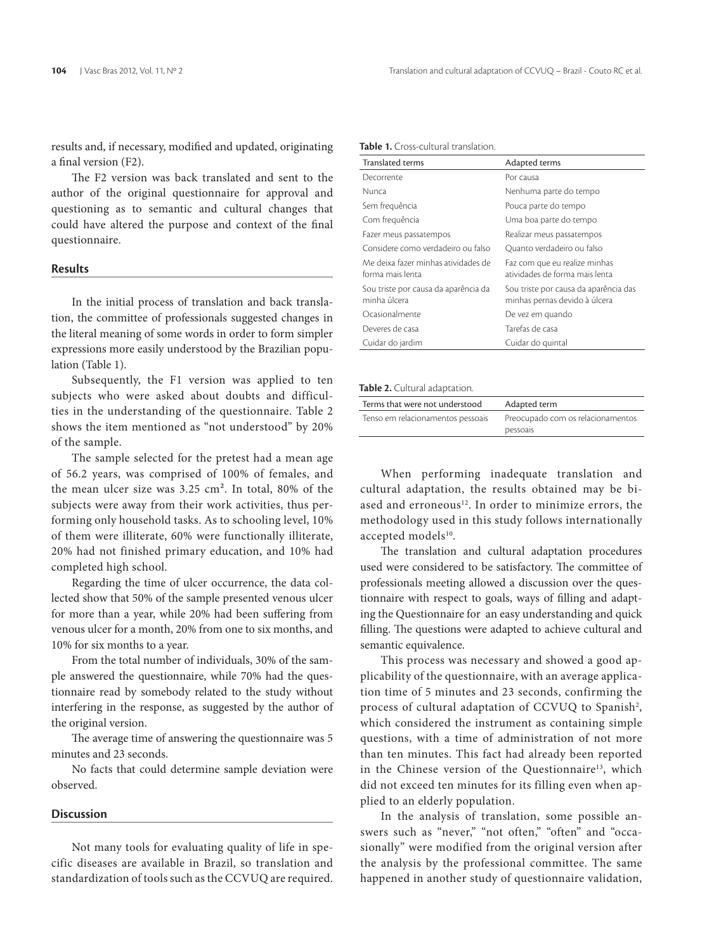results and, if necessary, modified and updated, originating a final version (F2).

The F2 version was back translated and sent to the author of the original questionnaire for approval and questioning as to semantic and cultural changes that could have altered the purpose and context of the final questionnaire.

#### **Results**

In the initial process of translation and back translation, the committee of professionals suggested changes in the literal meaning of some words in order to form simpler expressions more easily understood by the Brazilian population (Table 1).

Subsequently, the F1 version was applied to ten subjects who were asked about doubts and difficulties in the understanding of the questionnaire. Table 2 shows the item mentioned as "not understood" by 20% of the sample.

The sample selected for the pretest had a mean age of 56.2 years, was comprised of 100% of females, and the mean ulcer size was 3.25 cm². In total, 80% of the subjects were away from their work activities, thus performing only household tasks. As to schooling level, 10% of them were illiterate, 60% were functionally illiterate, 20% had not finished primary education, and 10% had completed high school.

Regarding the time of ulcer occurrence, the data collected show that 50% of the sample presented venous ulcer for more than a year, while 20% had been suffering from venous ulcer for a month, 20% from one to six months, and 10% for six months to a year.

From the total number of individuals, 30% of the sample answered the questionnaire, while 70% had the questionnaire read by somebody related to the study without interfering in the response, as suggested by the author of the original version.

The average time of answering the questionnaire was 5 minutes and 23 seconds.

No facts that could determine sample deviation were observed.

#### **Discussion**

Not many tools for evaluating quality of life in specific diseases are available in Brazil, so translation and standardization of tools such as the CCVUQ are required.

| <b>Table 1.</b> Cross-cultural translation. |               |
|---------------------------------------------|---------------|
| Translated terms                            | Adapted terms |

| Decorrente                                              | Por causa                                                              |
|---------------------------------------------------------|------------------------------------------------------------------------|
| Nunca                                                   | Nenhuma parte do tempo                                                 |
| Sem frequência                                          | Pouca parte do tempo                                                   |
| Com freguência                                          | Uma boa parte do tempo                                                 |
| Fazer meus passatempos                                  | Realizar meus passatempos                                              |
| Considere como verdadeiro ou falso                      | Quanto verdadeiro ou falso                                             |
| Me deixa fazer minhas atividades de<br>forma mais lenta | Faz com que eu realize minhas<br>atividades de forma mais lenta        |
| Sou triste por causa da aparência da<br>minha úlcera    | Sou triste por causa da aparência das<br>minhas pernas devido à úlcera |
| Ocasionalmente                                          | De vez em quando                                                       |
| Deveres de casa                                         | Tarefas de casa                                                        |
| Cuidar do jardim                                        | Cuidar do quintal                                                      |
|                                                         |                                                                        |

|  |  |  | Table 2. Cultural adaptation. |  |  |
|--|--|--|-------------------------------|--|--|
|--|--|--|-------------------------------|--|--|

| Terms that were not understood    | Adapted term                      |
|-----------------------------------|-----------------------------------|
| Tenso em relacionamentos pessoais | Preocupado com os relacionamentos |
|                                   | pessoais                          |

When performing inadequate translation and cultural adaptation, the results obtained may be biased and erroneous<sup>12</sup>. In order to minimize errors, the methodology used in this study follows internationally accepted models<sup>10</sup>.

The translation and cultural adaptation procedures used were considered to be satisfactory. The committee of professionals meeting allowed a discussion over the questionnaire with respect to goals, ways of filling and adapting the Questionnaire for an easy understanding and quick filling. The questions were adapted to achieve cultural and semantic equivalence.

This process was necessary and showed a good applicability of the questionnaire, with an average application time of 5 minutes and 23 seconds, confirming the process of cultural adaptation of CCVUQ to Spanish<sup>2</sup>, which considered the instrument as containing simple questions, with a time of administration of not more than ten minutes. This fact had already been reported in the Chinese version of the Questionnaire<sup>13</sup>, which did not exceed ten minutes for its filling even when applied to an elderly population.

In the analysis of translation, some possible answers such as "never," "not often," "often" and "occasionally" were modified from the original version after the analysis by the professional committee. The same happened in another study of questionnaire validation,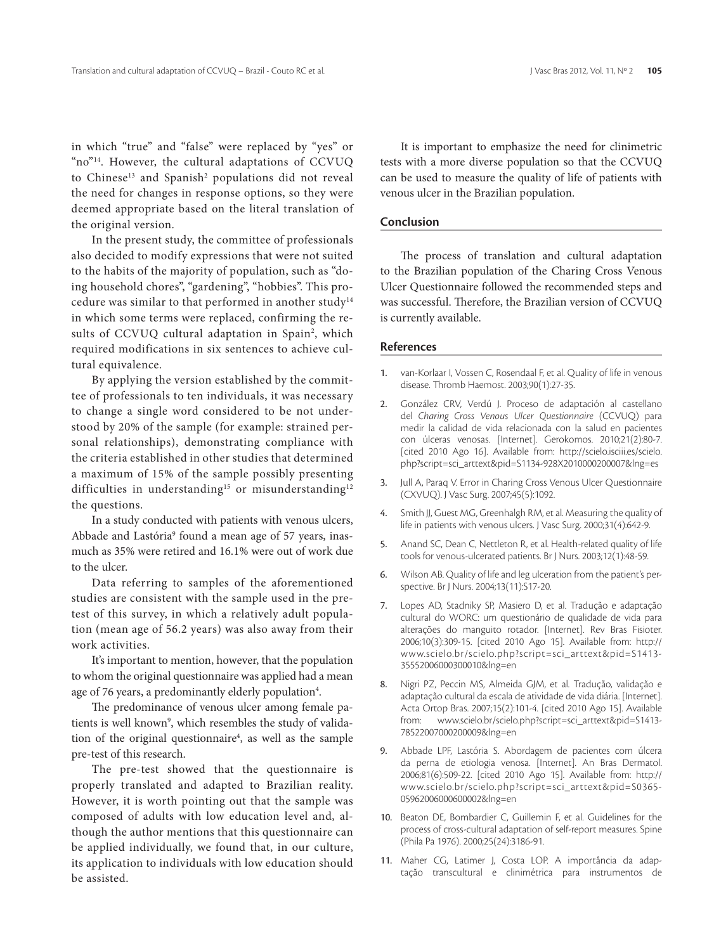in which "true" and "false" were replaced by "yes" or "no"14. However, the cultural adaptations of CCVUQ to Chinese<sup>13</sup> and Spanish<sup>2</sup> populations did not reveal the need for changes in response options, so they were deemed appropriate based on the literal translation of the original version.

In the present study, the committee of professionals also decided to modify expressions that were not suited to the habits of the majority of population, such as "doing household chores", "gardening", "hobbies". This procedure was similar to that performed in another study<sup>14</sup> in which some terms were replaced, confirming the results of CCVUQ cultural adaptation in Spain<sup>2</sup>, which required modifications in six sentences to achieve cultural equivalence.

By applying the version established by the committee of professionals to ten individuals, it was necessary to change a single word considered to be not understood by 20% of the sample (for example: strained personal relationships), demonstrating compliance with the criteria established in other studies that determined a maximum of 15% of the sample possibly presenting difficulties in understanding<sup>15</sup> or misunderstanding<sup>12</sup> the questions.

In a study conducted with patients with venous ulcers, Abbade and Lastória<sup>9</sup> found a mean age of 57 years, inasmuch as 35% were retired and 16.1% were out of work due to the ulcer.

Data referring to samples of the aforementioned studies are consistent with the sample used in the pretest of this survey, in which a relatively adult population (mean age of 56.2 years) was also away from their work activities.

It's important to mention, however, that the population to whom the original questionnaire was applied had a mean age of 76 years, a predominantly elderly population<sup>4</sup>.

The predominance of venous ulcer among female patients is well known<sup>9</sup>, which resembles the study of validation of the original questionnaire<sup>4</sup>, as well as the sample pre-test of this research.

The pre-test showed that the questionnaire is properly translated and adapted to Brazilian reality. However, it is worth pointing out that the sample was composed of adults with low education level and, although the author mentions that this questionnaire can be applied individually, we found that, in our culture, its application to individuals with low education should be assisted.

It is important to emphasize the need for clinimetric tests with a more diverse population so that the CCVUQ can be used to measure the quality of life of patients with venous ulcer in the Brazilian population.

# **Conclusion**

The process of translation and cultural adaptation to the Brazilian population of the Charing Cross Venous Ulcer Questionnaire followed the recommended steps and was successful. Therefore, the Brazilian version of CCVUQ is currently available.

#### **References**

- 1. van-Korlaar I, Vossen C, Rosendaal F, et al. Quality of life in venous disease. Thromb Haemost. 2003;90(1):27-35.
- 2. González CRV, Verdú J. Proceso de adaptación al castellano del *Charing Cross Venous Ulcer Questionnaire* (CCVUQ) para medir la calidad de vida relacionada con la salud en pacientes con úlceras venosas. [Internet]. Gerokomos. 2010;21(2):80-7. [cited 2010 Ago 16]. Available from: http://scielo.isciii.es/scielo. php?script=sci\_arttext&pid=S1134-928X2010000200007&lng=es
- 3. Jull A, Paraq V. Error in Charing Cross Venous Ulcer Questionnaire (CXVUQ). J Vasc Surg. 2007;45(5):1092.
- Smith JJ, Guest MG, Greenhalgh RM, et al. Measuring the quality of life in patients with venous ulcers. J Vasc Surg. 2000;31(4):642-9.
- 5. Anand SC, Dean C, Nettleton R, et al. Health-related quality of life tools for venous-ulcerated patients. Br J Nurs. 2003;12(1):48-59.
- 6. Wilson AB. Quality of life and leg ulceration from the patient's perspective. Br J Nurs. 2004;13(11):S17-20.
- 7. Lopes AD, Stadniky SP, Masiero D, et al. Tradução e adaptação cultural do WORC: um questionário de qualidade de vida para alterações do manguito rotador. [Internet]. Rev Bras Fisioter. 2006;10(3):309-15. [cited 2010 Ago 15]. Available from: http:// www.scielo.br/scielo.php?script=sci\_arttext&pid=S1413- 35552006000300010&lng=en
- 8. Nigri PZ, Peccin MS, Almeida GJM, et al. Tradução, validação e adaptação cultural da escala de atividade de vida diária. [Internet]. Acta Ortop Bras. 2007;15(2):101-4. [cited 2010 Ago 15]. Available from: www.scielo.br/scielo.php?script=sci\_arttext&pid=S1413- 78522007000200009&lng=en
- 9. Abbade LPF, Lastória S. Abordagem de pacientes com úlcera da perna de etiologia venosa. [Internet]. An Bras Dermatol. 2006;81(6):509-22. [cited 2010 Ago 15]. Available from: http:// www.scielo.br/scielo.php?script=sci\_arttext&pid=S0365- 05962006000600002&lng=en
- 10. Beaton DE, Bombardier C, Guillemin F, et al. Guidelines for the process of cross-cultural adaptation of self-report measures. Spine (Phila Pa 1976). 2000;25(24):3186-91.
- 11. Maher CG, Latimer J, Costa LOP. A importância da adaptação transcultural e clinimétrica para instrumentos de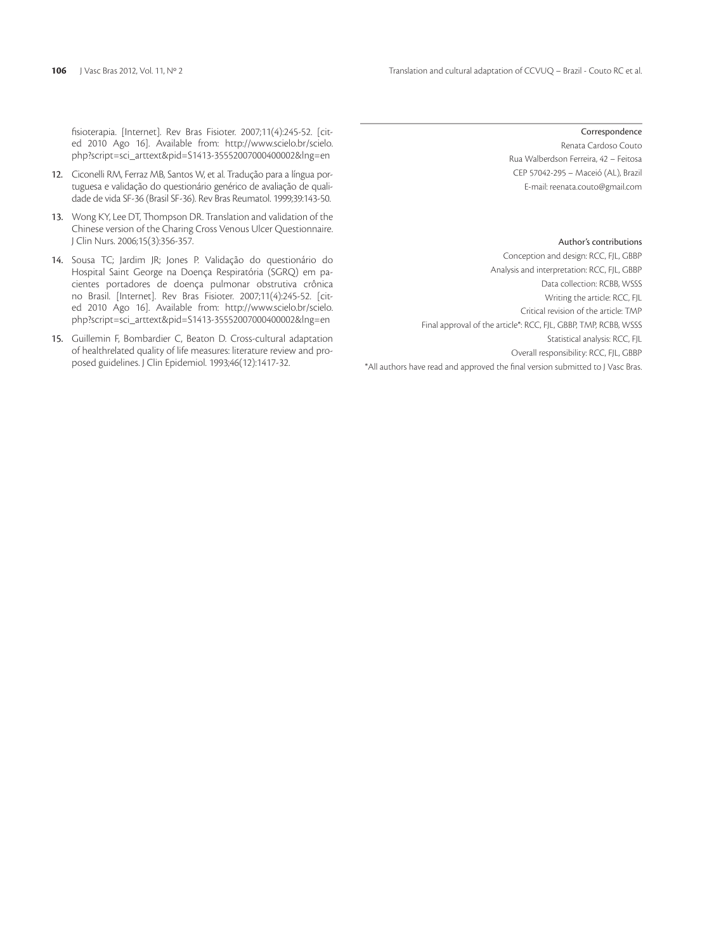fisioterapia. [Internet]. Rev Bras Fisioter. 2007;11(4):245-52. [cited 2010 Ago 16]. Available from: http://www.scielo.br/scielo. php?script=sci\_arttext&pid=S1413-35552007000400002&lng=en

- 12. Ciconelli RM, Ferraz MB, Santos W, et al. Tradução para a língua portuguesa e validação do questionário genérico de avaliação de qualidade de vida SF-36 (Brasil SF-36). Rev Bras Reumatol. 1999;39:143-50.
- 13. Wong KY, Lee DT, Thompson DR. Translation and validation of the Chinese version of the Charing Cross Venous Ulcer Questionnaire. J Clin Nurs. 2006;15(3):356-357.
- 14. Sousa TC; Jardim JR; Jones P. Validação do questionário do Hospital Saint George na Doença Respiratória (SGRQ) em pacientes portadores de doença pulmonar obstrutiva crônica no Brasil. [Internet]. Rev Bras Fisioter. 2007;11(4):245-52. [cited 2010 Ago 16]. Available from: http://www.scielo.br/scielo. php?script=sci\_arttext&pid=S1413-35552007000400002&lng=en
- 15. Guillemin F, Bombardier C, Beaton D. Cross-cultural adaptation of healthrelated quality of life measures: literature review and proposed guidelines. J Clin Epidemiol. 1993;46(12):1417-32.

Correspondence

Renata Cardoso Couto Rua Walberdson Ferreira, 42 – Feitosa CEP 57042-295 – Maceió (AL), Brazil E-mail: reenata.couto@gmail.com

#### Author's contributions

Conception and design: RCC, FJL, GBBP Analysis and interpretation: RCC, FJL, GBBP Data collection: RCBB, WSSS Writing the article: RCC, FJL Critical revision of the article: TMP Final approval of the article\*: RCC, FJL, GBBP, TMP, RCBB, WSSS Statistical analysis: RCC, FJL Overall responsibility: RCC, FJL, GBBP

\*All authors have read and approved the final version submitted to J Vasc Bras.